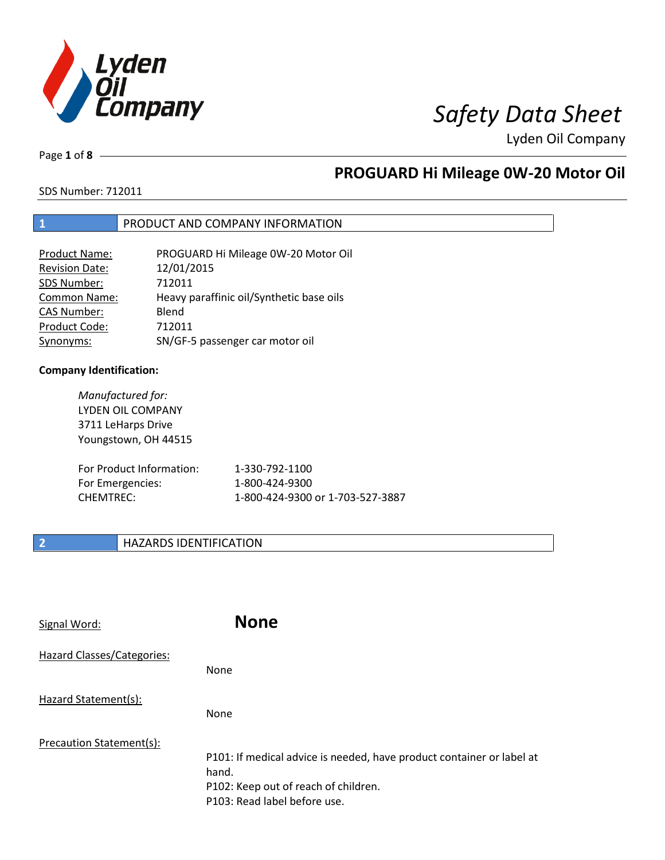

Page **1** of **8**

# **PROGUARD Hi Mileage 0W-20 Motor Oil**

SDS Number: 712011

## **1** PRODUCT AND COMPANY INFORMATION

| <b>Product Name:</b>  | PROGUARD Hi Mileage 0W-20 Motor Oil      |
|-----------------------|------------------------------------------|
| <b>Revision Date:</b> | 12/01/2015                               |
| SDS Number:           | 712011                                   |
| <b>Common Name:</b>   | Heavy paraffinic oil/Synthetic base oils |
| <b>CAS Number:</b>    | Blend                                    |
| Product Code:         | 712011                                   |
| Synonyms:             | SN/GF-5 passenger car motor oil          |

## **Company Identification:**

| Manufactured for:<br>LYDEN OIL COMPANY<br>3711 LeHarps Drive<br>Youngstown, OH 44515 |                                  |
|--------------------------------------------------------------------------------------|----------------------------------|
| For Product Information:                                                             | 1-330-792-1100                   |
| For Emergencies:                                                                     | 1-800-424-9300                   |
| <b>CHEMTREC:</b>                                                                     | 1-800-424-9300 or 1-703-527-3887 |

## **2 HAZARDS IDENTIFICATION**

| Signal Word:               | <b>None</b>                                                                                                                                            |
|----------------------------|--------------------------------------------------------------------------------------------------------------------------------------------------------|
| Hazard Classes/Categories: | <b>None</b>                                                                                                                                            |
| Hazard Statement(s):       | None                                                                                                                                                   |
| Precaution Statement(s):   | P101: If medical advice is needed, have product container or label at<br>hand.<br>P102: Keep out of reach of children.<br>P103: Read label before use. |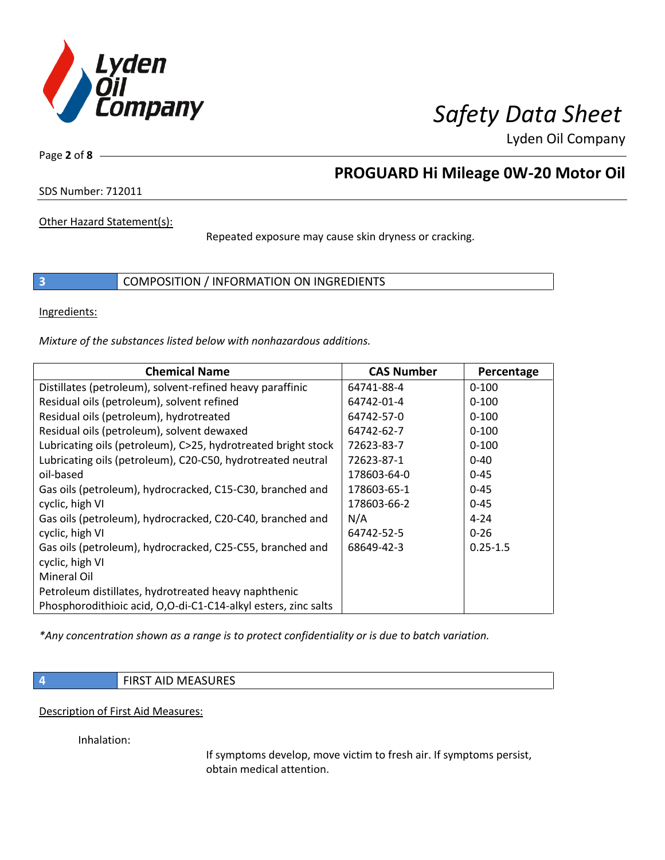

Page **2** of **8**

# **PROGUARD Hi Mileage 0W-20 Motor Oil**

SDS Number: 712011

Other Hazard Statement(s):

Repeated exposure may cause skin dryness or cracking.

**3** COMPOSITION / INFORMATION ON INGREDIENTS

Ingredients:

*Mixture of the substances listed below with nonhazardous additions.*

| <b>Chemical Name</b>                                           | <b>CAS Number</b> | Percentage   |
|----------------------------------------------------------------|-------------------|--------------|
| Distillates (petroleum), solvent-refined heavy paraffinic      | 64741-88-4        | $0 - 100$    |
| Residual oils (petroleum), solvent refined                     | 64742-01-4        | $0 - 100$    |
| Residual oils (petroleum), hydrotreated                        | 64742-57-0        | $0 - 100$    |
| Residual oils (petroleum), solvent dewaxed                     | 64742-62-7        | $0 - 100$    |
| Lubricating oils (petroleum), C>25, hydrotreated bright stock  | 72623-83-7        | $0 - 100$    |
| Lubricating oils (petroleum), C20-C50, hydrotreated neutral    | 72623-87-1        | $0 - 40$     |
| oil-based                                                      | 178603-64-0       | $0 - 45$     |
| Gas oils (petroleum), hydrocracked, C15-C30, branched and      | 178603-65-1       | $0 - 45$     |
| cyclic, high VI                                                | 178603-66-2       | $0 - 45$     |
| Gas oils (petroleum), hydrocracked, C20-C40, branched and      | N/A               | $4 - 24$     |
| cyclic, high VI                                                | 64742-52-5        | $0 - 26$     |
| Gas oils (petroleum), hydrocracked, C25-C55, branched and      | 68649-42-3        | $0.25 - 1.5$ |
| cyclic, high VI                                                |                   |              |
| Mineral Oil                                                    |                   |              |
| Petroleum distillates, hydrotreated heavy naphthenic           |                   |              |
| Phosphorodithioic acid, O,O-di-C1-C14-alkyl esters, zinc salts |                   |              |

*\*Any concentration shown as a range is to protect confidentiality or is due to batch variation.*

**4 FIRST AID MEASURES** 

Description of First Aid Measures:

Inhalation:

If symptoms develop, move victim to fresh air. If symptoms persist, obtain medical attention.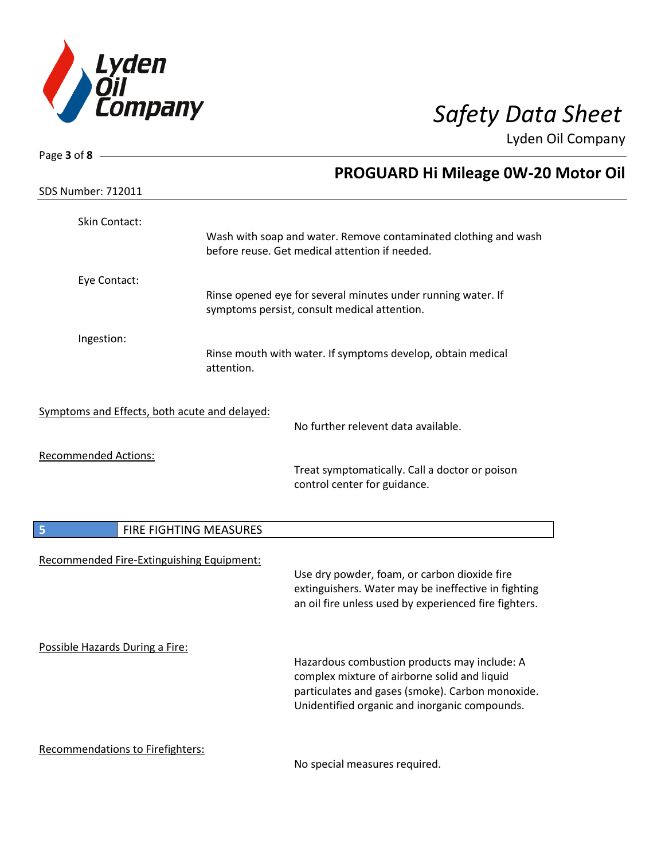

| Page $3$ of $8$ -                             |                        |                                                                                |
|-----------------------------------------------|------------------------|--------------------------------------------------------------------------------|
|                                               |                        | PROGUARD Hi Mileage 0W-20 Motor Oil                                            |
| <b>SDS Number: 712011</b>                     |                        |                                                                                |
| Skin Contact:                                 |                        |                                                                                |
|                                               |                        | Wash with soap and water. Remove contaminated clothing and wash                |
|                                               |                        | before reuse. Get medical attention if needed.                                 |
| Eye Contact:                                  |                        |                                                                                |
|                                               |                        | Rinse opened eye for several minutes under running water. If                   |
|                                               |                        | symptoms persist, consult medical attention.                                   |
| Ingestion:                                    |                        |                                                                                |
|                                               | attention.             | Rinse mouth with water. If symptoms develop, obtain medical                    |
|                                               |                        |                                                                                |
| Symptoms and Effects, both acute and delayed: |                        |                                                                                |
|                                               |                        | No further relevent data available.                                            |
|                                               |                        |                                                                                |
| <b>Recommended Actions:</b>                   |                        |                                                                                |
|                                               |                        | Treat symptomatically. Call a doctor or poison<br>control center for guidance. |
|                                               |                        |                                                                                |
|                                               |                        |                                                                                |
| 5                                             | FIRE FIGHTING MEASURES |                                                                                |
| Recommended Fire-Extinguishing Equipment:     |                        |                                                                                |
|                                               |                        | Use dry powder, foam, or carbon dioxide fire                                   |
|                                               |                        | extinguishers. Water may be ineffective in fighting                            |
|                                               |                        | an oil fire unless used by experienced fire fighters.                          |
| Possible Hazards During a Fire:               |                        |                                                                                |
|                                               |                        | Hazardous combustion products may include: A                                   |
|                                               |                        | complex mixture of airborne solid and liquid                                   |
|                                               |                        | particulates and gases (smoke). Carbon monoxide.                               |
|                                               |                        | Unidentified organic and inorganic compounds.                                  |
| Recommendations to Firefighters:              |                        |                                                                                |
|                                               |                        | No special measures required                                                   |

No special measures required.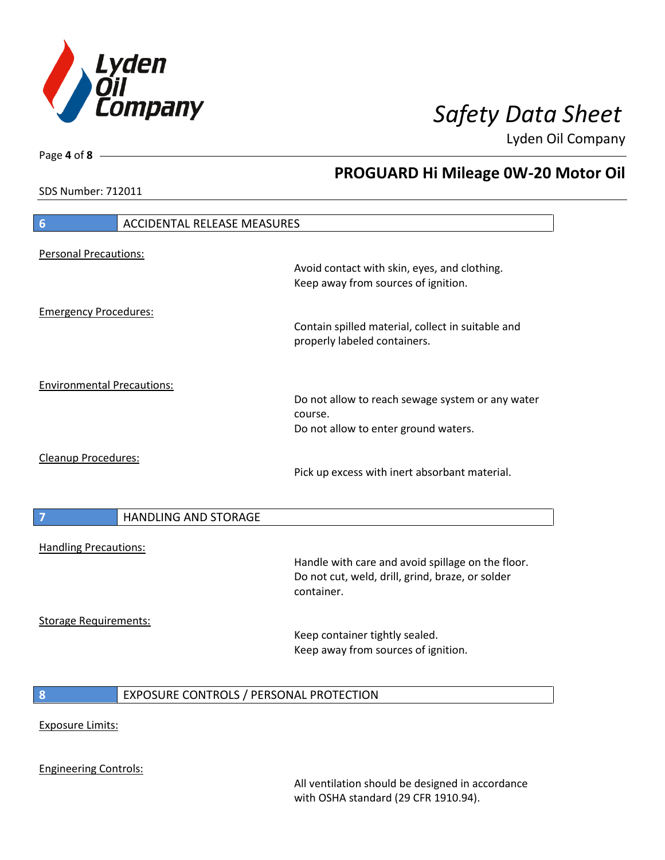

**PROGUARD Hi Mileage 0W-20 Motor Oil**

Lyden Oil Company

SDS Number: 712011

# **6** ACCIDENTAL RELEASE MEASURES Personal Precautions: Avoid contact with skin, eyes, and clothing. Keep away from sources of ignition. Emergency Procedures: Contain spilled material, collect in suitable and properly labeled containers. Environmental Precautions: Do not allow to reach sewage system or any water course. Do not allow to enter ground waters. Cleanup Procedures: Pick up excess with inert absorbant material. **7 HANDLING AND STORAGE** Handling Precautions: Handle with care and avoid spillage on the floor. Do not cut, weld, drill, grind, braze, or solder container. Storage Requirements: Keep container tightly sealed. Keep away from sources of ignition. **8** EXPOSURE CONTROLS / PERSONAL PROTECTION Exposure Limits: Engineering Controls:

All ventilation should be designed in accordance with OSHA standard (29 CFR 1910.94).

Page **4** of **8**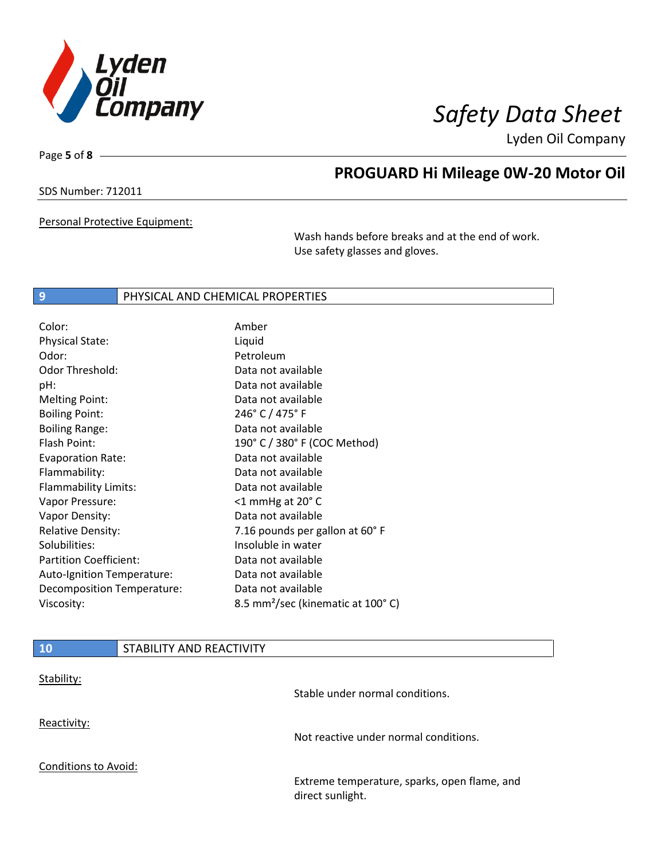

Page **5** of **8**

# **PROGUARD Hi Mileage 0W-20 Motor Oil**

SDS Number: 712011

Personal Protective Equipment:

Wash hands before breaks and at the end of work. Use safety glasses and gloves.

## **9** PHYSICAL AND CHEMICAL PROPERTIES

| Color:                        | Amber                                         |
|-------------------------------|-----------------------------------------------|
| <b>Physical State:</b>        | Liquid                                        |
| Odor:                         | Petroleum                                     |
| Odor Threshold:               | Data not available                            |
| pH:                           | Data not available                            |
| <b>Melting Point:</b>         | Data not available                            |
| <b>Boiling Point:</b>         | 246° C / 475° F                               |
| <b>Boiling Range:</b>         | Data not available                            |
| Flash Point:                  | 190° C / 380° F (COC Method)                  |
| <b>Evaporation Rate:</b>      | Data not available                            |
| Flammability:                 | Data not available                            |
| Flammability Limits:          | Data not available                            |
| Vapor Pressure:               | $<$ 1 mmHg at 20 $^{\circ}$ C                 |
| Vapor Density:                | Data not available                            |
| <b>Relative Density:</b>      | 7.16 pounds per gallon at 60°F                |
| Solubilities:                 | Insoluble in water                            |
| <b>Partition Coefficient:</b> | Data not available                            |
| Auto-Ignition Temperature:    | Data not available                            |
| Decomposition Temperature:    | Data not available                            |
| Viscosity:                    | 8.5 mm <sup>2</sup> /sec (kinematic at 100°C) |

| /10/                        | STABILITY AND REACTIVITY |                                                                  |
|-----------------------------|--------------------------|------------------------------------------------------------------|
| Stability:                  |                          | Stable under normal conditions.                                  |
| Reactivity:                 |                          | Not reactive under normal conditions.                            |
| <b>Conditions to Avoid:</b> |                          |                                                                  |
|                             |                          | Extreme temperature, sparks, open flame, and<br>direct sunlight. |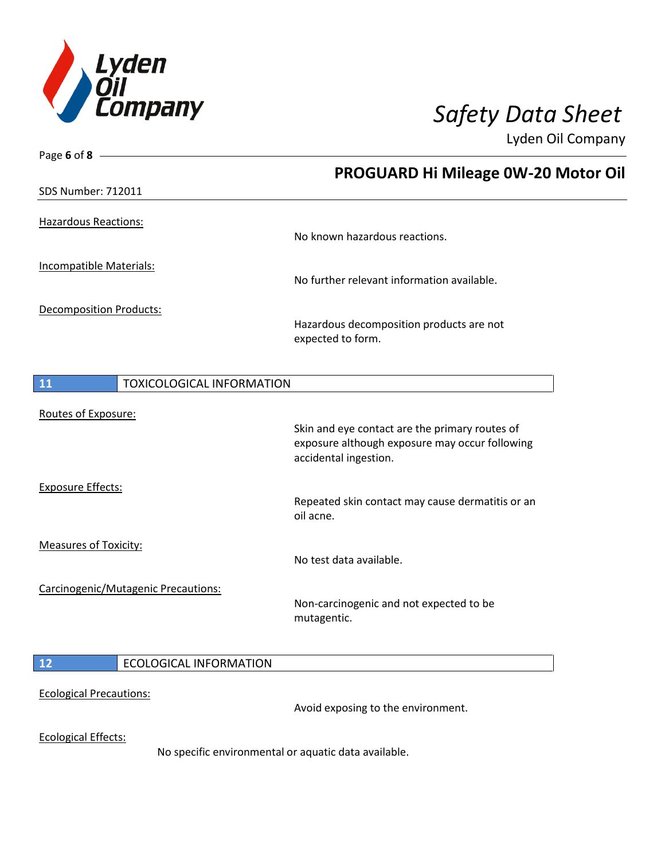

| Page 6 of 8 $-$                        |                                                      |
|----------------------------------------|------------------------------------------------------|
|                                        | PROGUARD Hi Mileage 0W-20 Motor Oil                  |
| <b>SDS Number: 712011</b>              |                                                      |
|                                        |                                                      |
| <b>Hazardous Reactions:</b>            | No known hazardous reactions.                        |
|                                        |                                                      |
| Incompatible Materials:                |                                                      |
|                                        | No further relevant information available.           |
| Decomposition Products:                |                                                      |
|                                        | Hazardous decomposition products are not             |
|                                        | expected to form.                                    |
|                                        |                                                      |
| 11<br><b>TOXICOLOGICAL INFORMATION</b> |                                                      |
| Routes of Exposure:                    |                                                      |
|                                        | Skin and eye contact are the primary routes of       |
|                                        | exposure although exposure may occur following       |
|                                        | accidental ingestion.                                |
| <b>Exposure Effects:</b>               |                                                      |
|                                        | Repeated skin contact may cause dermatitis or an     |
|                                        | oil acne.                                            |
| <b>Measures of Toxicity:</b>           |                                                      |
|                                        | No test data available.                              |
| Carcinogenic/Mutagenic Precautions:    |                                                      |
|                                        | Non-carcinogenic and not expected to be              |
|                                        | mutagentic.                                          |
|                                        |                                                      |
| 12<br><b>ECOLOGICAL INFORMATION</b>    |                                                      |
|                                        |                                                      |
| <b>Ecological Precautions:</b>         | Avoid exposing to the environment.                   |
|                                        |                                                      |
| <b>Ecological Effects:</b>             |                                                      |
|                                        | No specific environmental or aquatic data available. |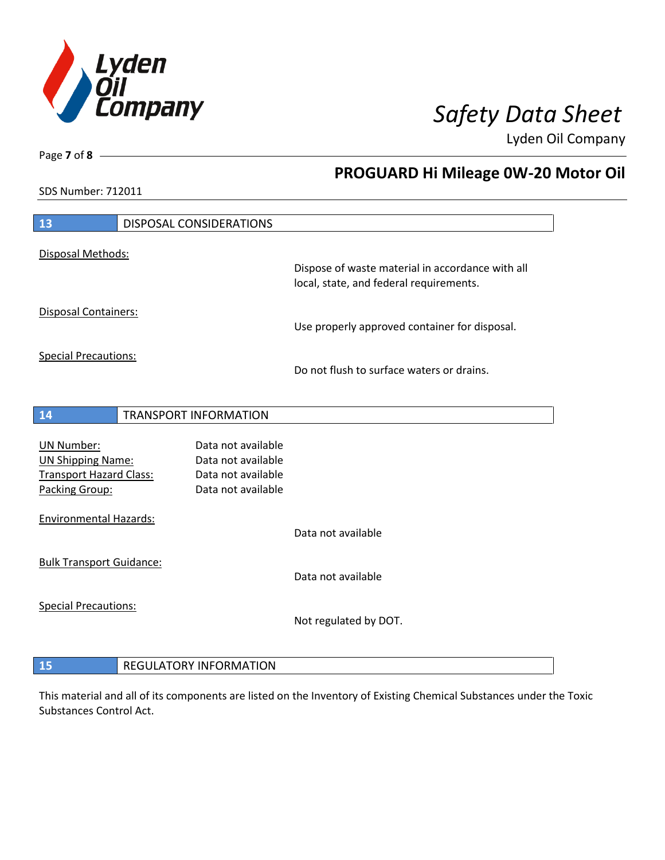

**PROGUARD Hi Mileage 0W-20 Motor Oil**

Lyden Oil Company

SDS Number: 712011

Page **7** of **8**

| 13                                                                                         | <b>DISPOSAL CONSIDERATIONS</b> |                                                                                      |                                                                                             |
|--------------------------------------------------------------------------------------------|--------------------------------|--------------------------------------------------------------------------------------|---------------------------------------------------------------------------------------------|
| Disposal Methods:                                                                          |                                |                                                                                      |                                                                                             |
|                                                                                            |                                |                                                                                      | Dispose of waste material in accordance with all<br>local, state, and federal requirements. |
| <b>Disposal Containers:</b>                                                                |                                |                                                                                      | Use properly approved container for disposal.                                               |
| <b>Special Precautions:</b>                                                                |                                |                                                                                      | Do not flush to surface waters or drains.                                                   |
|                                                                                            |                                |                                                                                      |                                                                                             |
| 14                                                                                         | <b>TRANSPORT INFORMATION</b>   |                                                                                      |                                                                                             |
| UN Number:<br><b>UN Shipping Name:</b><br><b>Transport Hazard Class:</b><br>Packing Group: |                                | Data not available<br>Data not available<br>Data not available<br>Data not available |                                                                                             |
| <b>Environmental Hazards:</b>                                                              |                                |                                                                                      | Data not available                                                                          |
| <b>Bulk Transport Guidance:</b>                                                            |                                |                                                                                      | Data not available                                                                          |
| <b>Special Precautions:</b>                                                                |                                |                                                                                      | Not regulated by DOT.                                                                       |
| 15                                                                                         | <b>REGULATORY INFORMATION</b>  |                                                                                      |                                                                                             |

This material and all of its components are listed on the Inventory of Existing Chemical Substances under the Toxic Substances Control Act.